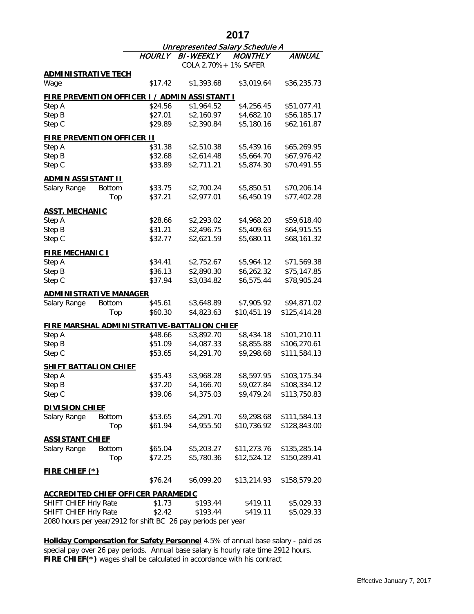|                                                               |               | 2017                                   |                                                    |                |               |  |  |  |
|---------------------------------------------------------------|---------------|----------------------------------------|----------------------------------------------------|----------------|---------------|--|--|--|
|                                                               |               | <b>Unrepresented Salary Schedule A</b> |                                                    |                |               |  |  |  |
|                                                               |               | <b>HOURLY</b>                          | <b>BI-WEEKLY</b>                                   | <b>MONTHLY</b> | <b>ANNUAL</b> |  |  |  |
|                                                               |               |                                        | COLA 2.70%+ 1% SAFER                               |                |               |  |  |  |
| <b>ADMINISTRATIVE TECH</b>                                    |               |                                        |                                                    |                |               |  |  |  |
| Wage                                                          |               | \$17.42                                | \$1,393.68                                         | \$3,019.64     | \$36,235.73   |  |  |  |
| <b>FIRE PREVENTION OFFICER I / ADMIN ASSISTANT I</b>          |               |                                        |                                                    |                |               |  |  |  |
| Step A                                                        |               | \$24.56                                | \$1,964.52                                         | \$4,256.45     | \$51,077.41   |  |  |  |
| Step B                                                        |               | \$27.01                                | \$2,160.97                                         | \$4,682.10     | \$56,185.17   |  |  |  |
| Step C                                                        |               | \$29.89                                | \$2,390.84                                         | \$5,180.16     | \$62,161.87   |  |  |  |
| <b>FIRE PREVENTION OFFICER II</b>                             |               |                                        |                                                    |                |               |  |  |  |
| Step A                                                        |               | \$31.38                                | \$2,510.38                                         | \$5,439.16     | \$65,269.95   |  |  |  |
| Step B                                                        |               | \$32.68                                | \$2,614.48                                         | \$5,664.70     | \$67,976.42   |  |  |  |
| Step C                                                        |               | \$33.89                                | \$2,711.21                                         | \$5,874.30     | \$70,491.55   |  |  |  |
| <b>ADMIN ASSISTANT II</b>                                     |               |                                        |                                                    |                |               |  |  |  |
| Salary Range                                                  | <b>Bottom</b> | \$33.75                                | \$2,700.24                                         | \$5,850.51     | \$70,206.14   |  |  |  |
|                                                               | Top           | \$37.21                                | \$2,977.01                                         | \$6,450.19     | \$77,402.28   |  |  |  |
| <b>ASST. MECHANIC</b>                                         |               |                                        |                                                    |                |               |  |  |  |
| Step A                                                        |               | \$28.66                                | \$2,293.02                                         | \$4,968.20     | \$59,618.40   |  |  |  |
| Step B                                                        |               | \$31.21                                | \$2,496.75                                         | \$5,409.63     | \$64,915.55   |  |  |  |
| Step C                                                        |               | \$32.77                                | \$2,621.59                                         | \$5,680.11     | \$68,161.32   |  |  |  |
| <b>FIRE MECHANIC I</b>                                        |               |                                        |                                                    |                |               |  |  |  |
| Step A                                                        |               | \$34.41                                | \$2,752.67                                         | \$5,964.12     | \$71,569.38   |  |  |  |
| Step B                                                        |               | \$36.13                                | \$2,890.30                                         | \$6,262.32     | \$75,147.85   |  |  |  |
| Step C                                                        |               | \$37.94                                | \$3,034.82                                         | \$6,575.44     | \$78,905.24   |  |  |  |
| <b>ADMINISTRATIVE MANAGER</b>                                 |               |                                        |                                                    |                |               |  |  |  |
| Salary Range                                                  | <b>Bottom</b> | \$45.61                                | \$3,648.89                                         | \$7,905.92     | \$94,871.02   |  |  |  |
|                                                               | Top           | \$60.30                                | \$4,823.63                                         | \$10,451.19    | \$125,414.28  |  |  |  |
|                                                               |               |                                        | <b>FIRE MARSHAL ADMINISTRATIVE-BATTALION CHIEF</b> |                |               |  |  |  |
| Step A                                                        |               | \$48.66                                | \$3,892.70                                         | \$8,434.18     | \$101,210.11  |  |  |  |
| Step B                                                        |               | \$51.09                                | \$4,087.33                                         | \$8,855.88     | \$106,270.61  |  |  |  |
| Step C                                                        |               | \$53.65                                | \$4,291.70                                         | \$9,298.68     | \$111,584.13  |  |  |  |
| <b>SHIFT BATTALION CHIEF</b>                                  |               |                                        |                                                    |                |               |  |  |  |
| Step A                                                        |               | \$35.43                                | \$3,968.28                                         | \$8,597.95     | \$103,175.34  |  |  |  |
| Step B                                                        |               | \$37.20                                | \$4,166.70                                         | \$9,027.84     | \$108,334.12  |  |  |  |
| Step C                                                        |               | \$39.06                                | \$4,375.03                                         | \$9,479.24     | \$113,750.83  |  |  |  |
| <b>DIVISION CHIEF</b>                                         |               |                                        |                                                    |                |               |  |  |  |
| Salary Range                                                  | <b>Bottom</b> | \$53.65                                | \$4,291.70                                         | \$9,298.68     | \$111,584.13  |  |  |  |
|                                                               | Top           | \$61.94                                | \$4,955.50                                         | \$10,736.92    | \$128,843.00  |  |  |  |
|                                                               |               |                                        |                                                    |                |               |  |  |  |
| <u>ASSISTANT CHIEF</u><br>Salary Range                        | Bottom        | \$65.04                                | \$5,203.27                                         | \$11,273.76    | \$135,285.14  |  |  |  |
|                                                               | Top           | \$72.25                                | \$5,780.36                                         | \$12,524.12    | \$150,289.41  |  |  |  |
|                                                               |               |                                        |                                                    |                |               |  |  |  |
| <b>FIRE CHIEF (*)</b>                                         |               |                                        |                                                    |                |               |  |  |  |
|                                                               |               | \$76.24                                | \$6,099.20                                         | \$13,214.93    | \$158,579.20  |  |  |  |
| <b>ACCREDITED CHIEF OFFICER PARAMEDIC</b>                     |               |                                        |                                                    |                |               |  |  |  |
| SHIFT CHIEF Hrly Rate                                         |               | \$1.73                                 | \$193.44                                           | \$419.11       | \$5,029.33    |  |  |  |
| SHIFT CHIEF Hrly Rate                                         |               | \$2.42                                 | \$193.44                                           | \$419.11       | \$5,029.33    |  |  |  |
| 2080 hours per year/2912 for shift BC 26 pay periods per year |               |                                        |                                                    |                |               |  |  |  |

**FIRE CHIEF(\*)** wages shall be calculated in accordance with his contract **Holiday Compensation for Safety Personnel** 4.5% of annual base salary - paid as special pay over 26 pay periods. Annual base salary is hourly rate time 2912 hours.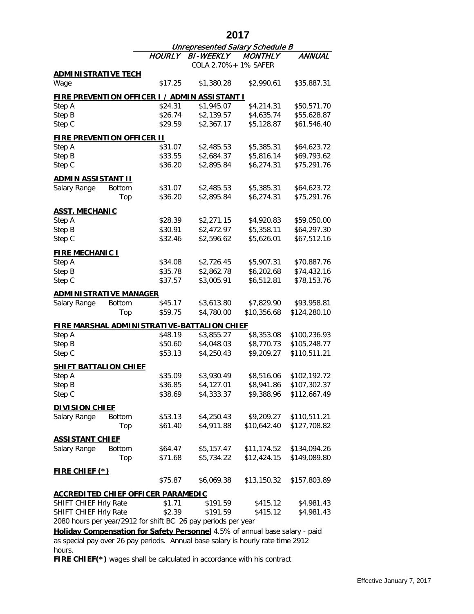|                                                                                 |               |                                 | 2017                                               |                |              |  |  |  |
|---------------------------------------------------------------------------------|---------------|---------------------------------|----------------------------------------------------|----------------|--------------|--|--|--|
|                                                                                 |               | Unrepresented Salary Schedule B |                                                    |                |              |  |  |  |
|                                                                                 |               | <b>HOURLY</b>                   | <b>BI-WEEKLY</b>                                   | <b>MONTHLY</b> | ANNUAL       |  |  |  |
|                                                                                 |               |                                 | COLA 2.70%+ 1% SAFER                               |                |              |  |  |  |
| <b>ADMINISTRATIVE TECH</b><br>Wage                                              |               | \$17.25                         | \$1,380.28                                         | \$2,990.61     | \$35,887.31  |  |  |  |
|                                                                                 |               |                                 |                                                    |                |              |  |  |  |
| <u>FIRE PREVENTION OFFICER I / ADMIN ASSISTANT I</u>                            |               |                                 |                                                    |                |              |  |  |  |
| Step A                                                                          |               | \$24.31                         | \$1,945.07                                         | \$4,214.31     | \$50,571.70  |  |  |  |
| Step B                                                                          |               | \$26.74                         | \$2,139.57                                         | \$4,635.74     | \$55,628.87  |  |  |  |
| Step C                                                                          |               | \$29.59                         | \$2,367.17                                         | \$5,128.87     | \$61,546.40  |  |  |  |
| <b>FIRE PREVENTION OFFICER II</b>                                               |               |                                 |                                                    |                |              |  |  |  |
| Step A                                                                          |               | \$31.07                         | \$2,485.53                                         | \$5,385.31     | \$64,623.72  |  |  |  |
| Step B                                                                          |               | \$33.55                         | \$2,684.37                                         | \$5,816.14     | \$69,793.62  |  |  |  |
| Step C                                                                          |               | \$36.20                         | \$2,895.84                                         | \$6,274.31     | \$75,291.76  |  |  |  |
| <u>ADMIN ASSISTANT II</u>                                                       |               |                                 |                                                    |                |              |  |  |  |
| Salary Range                                                                    | <b>Bottom</b> | \$31.07                         | \$2,485.53                                         | \$5,385.31     | \$64,623.72  |  |  |  |
|                                                                                 | Top           | \$36.20                         | \$2,895.84                                         | \$6,274.31     | \$75,291.76  |  |  |  |
| <b>ASST. MECHANIC</b>                                                           |               |                                 |                                                    |                |              |  |  |  |
| Step A                                                                          |               | \$28.39                         | \$2,271.15                                         | \$4,920.83     | \$59,050.00  |  |  |  |
| Step B                                                                          |               | \$30.91                         | \$2,472.97                                         | \$5,358.11     | \$64,297.30  |  |  |  |
| Step C                                                                          |               | \$32.46                         | \$2,596.62                                         | \$5,626.01     | \$67,512.16  |  |  |  |
|                                                                                 |               |                                 |                                                    |                |              |  |  |  |
| <b>FIRE MECHANIC I</b>                                                          |               |                                 |                                                    |                |              |  |  |  |
| Step A                                                                          |               | \$34.08                         | \$2,726.45                                         | \$5,907.31     | \$70,887.76  |  |  |  |
| Step B                                                                          |               | \$35.78                         | \$2,862.78                                         | \$6,202.68     | \$74,432.16  |  |  |  |
| Step C                                                                          |               | \$37.57                         | \$3,005.91                                         | \$6,512.81     | \$78,153.76  |  |  |  |
| <b>ADMINISTRATIVE MANAGER</b>                                                   |               |                                 |                                                    |                |              |  |  |  |
| Salary Range                                                                    | <b>Bottom</b> | \$45.17                         | \$3,613.80                                         | \$7,829.90     | \$93,958.81  |  |  |  |
|                                                                                 | Top           | \$59.75                         | \$4,780.00                                         | \$10,356.68    | \$124,280.10 |  |  |  |
|                                                                                 |               |                                 | <u>FIRE MARSHAL ADMINISTRATIVE-BATTALION CHIEF</u> |                |              |  |  |  |
| Step A                                                                          |               | \$48.19                         | \$3,855.27                                         | \$8,353.08     | \$100,236.93 |  |  |  |
| Step B                                                                          |               | \$50.60                         | \$4,048.03                                         | \$8,770.73     | \$105,248.77 |  |  |  |
| Step C                                                                          |               | \$53.13                         | \$4,250.43                                         | \$9,209.27     | \$110,511.21 |  |  |  |
| <b>SHIFT BATTALION CHIEF</b>                                                    |               |                                 |                                                    |                |              |  |  |  |
| Step A                                                                          |               | \$35.09                         | \$3,930.49                                         | \$8,516.06     | \$102,192.72 |  |  |  |
| Step B                                                                          |               | \$36.85                         | \$4,127.01                                         | \$8,941.86     | \$107,302.37 |  |  |  |
| Step C                                                                          |               | \$38.69                         | \$4,333.37                                         | \$9,388.96     | \$112,667.49 |  |  |  |
|                                                                                 |               |                                 |                                                    |                |              |  |  |  |
| <b>DIVISION CHIEF</b><br>Salary Range                                           | <b>Bottom</b> | \$53.13                         | \$4,250.43                                         | \$9,209.27     | \$110,511.21 |  |  |  |
|                                                                                 | Top           | \$61.40                         | \$4,911.88                                         | \$10,642.40    | \$127,708.82 |  |  |  |
|                                                                                 |               |                                 |                                                    |                |              |  |  |  |
| <b>ASSISTANT CHIEF</b>                                                          |               |                                 |                                                    |                |              |  |  |  |
| Salary Range                                                                    | Bottom        | \$64.47                         | \$5,157.47                                         | \$11,174.52    | \$134,094.26 |  |  |  |
|                                                                                 | Top           | \$71.68                         | \$5,734.22                                         | \$12,424.15    | \$149,089.80 |  |  |  |
| <u>FIRE CHIEF (*)</u>                                                           |               |                                 |                                                    |                |              |  |  |  |
|                                                                                 |               | \$75.87                         | \$6,069.38                                         | \$13,150.32    | \$157,803.89 |  |  |  |
| <b>ACCREDITED CHIEF OFFICER PARAMEDIC</b>                                       |               |                                 |                                                    |                |              |  |  |  |
| SHIFT CHIEF Hrly Rate                                                           |               | \$1.71                          | \$191.59                                           | \$415.12       | \$4,981.43   |  |  |  |
| SHIFT CHIEF Hrly Rate                                                           |               | \$2.39                          | \$191.59                                           | \$415.12       | \$4,981.43   |  |  |  |
| 2080 hours per year/2912 for shift BC 26 pay periods per year                   |               |                                 |                                                    |                |              |  |  |  |
| Holiday Compensation for Safety Personnel 4.5% of annual base salary - paid     |               |                                 |                                                    |                |              |  |  |  |
| as special pay over 26 pay periods. Annual base salary is hourly rate time 2912 |               |                                 |                                                    |                |              |  |  |  |
| hours.                                                                          |               |                                 |                                                    |                |              |  |  |  |

**FIRE CHIEF(\*)** wages shall be calculated in accordance with his contract